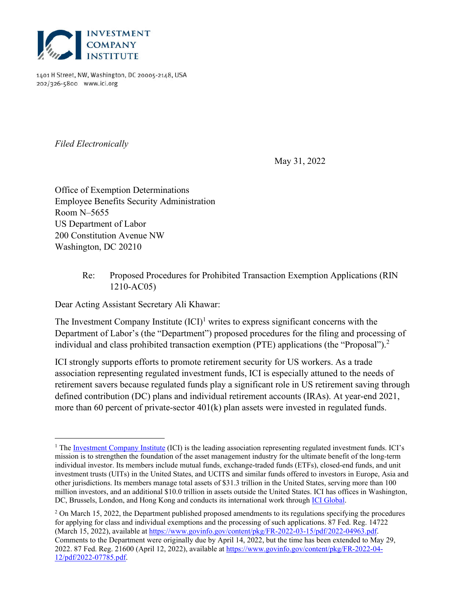

1401 H Street, NW, Washington, DC 20005-2148, USA 202/326-5800 www.ici.org

*Filed Electronically*

May 31, 2022

Office of Exemption Determinations Employee Benefits Security Administration Room N–5655 US Department of Labor 200 Constitution Avenue NW Washington, DC 20210

### Re: Proposed Procedures for Prohibited Transaction Exemption Applications (RIN 1210-AC05)

Dear Acting Assistant Secretary Ali Khawar:

The Investment Company Institute  $\text{[ICI]}^1$  writes to express significant concerns with the Department of Labor's (the "Department") proposed procedures for the filing and processing of individual and class prohibited transaction exemption (PTE) applications (the "Proposal").<sup>2</sup>

ICI strongly supports efforts to promote retirement security for US workers. As a trade association representing regulated investment funds, ICI is especially attuned to the needs of retirement savers because regulated funds play a significant role in US retirement saving through defined contribution (DC) plans and individual retirement accounts (IRAs). At year-end 2021, more than 60 percent of private-sector 401(k) plan assets were invested in regulated funds.

<sup>&</sup>lt;sup>1</sup> The Investment Company Institute (ICI) is the leading association representing regulated investment funds. ICI's mission is to strengthen the foundation of the asset management industry for the ultimate benefit of the long-term individual investor. Its members include mutual funds, exchange-traded funds (ETFs), closed-end funds, and unit investment trusts (UITs) in the United States, and UCITS and similar funds offered to investors in Europe, Asia and other jurisdictions. Its members manage total assets of \$31.3 trillion in the United States, serving more than 100 million investors, and an additional \$10.0 trillion in assets outside the United States. ICI has offices in Washington, DC, Brussels, London, and Hong Kong and conducts its international work through ICI Global.

 $2$  On March 15, 2022, the Department published proposed amendments to its regulations specifying the procedures for applying for class and individual exemptions and the processing of such applications. 87 Fed. Reg. 14722 (March 15, 2022), available at https://www.govinfo.gov/content/pkg/FR-2022-03-15/pdf/2022-04963.pdf. Comments to the Department were originally due by April 14, 2022, but the time has been extended to May 29, 2022. 87 Fed. Reg. 21600 (April 12, 2022), available at https://www.govinfo.gov/content/pkg/FR-2022-04- 12/pdf/2022-07785.pdf.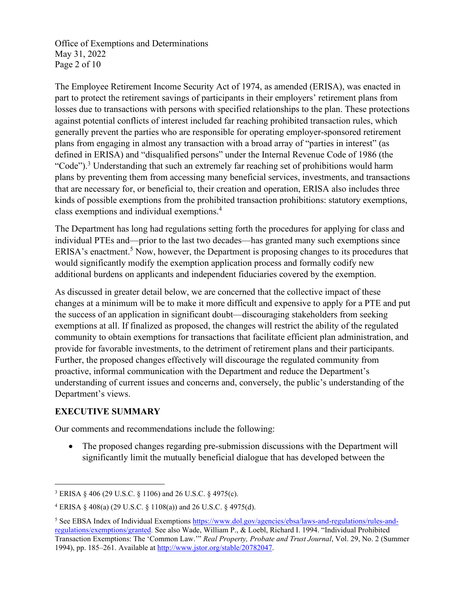Office of Exemptions and Determinations May 31, 2022 Page 2 of 10

The Employee Retirement Income Security Act of 1974, as amended (ERISA), was enacted in part to protect the retirement savings of participants in their employers' retirement plans from losses due to transactions with persons with specified relationships to the plan. These protections against potential conflicts of interest included far reaching prohibited transaction rules, which generally prevent the parties who are responsible for operating employer-sponsored retirement plans from engaging in almost any transaction with a broad array of "parties in interest" (as defined in ERISA) and "disqualified persons" under the Internal Revenue Code of 1986 (the "Code").<sup>3</sup> Understanding that such an extremely far reaching set of prohibitions would harm plans by preventing them from accessing many beneficial services, investments, and transactions that are necessary for, or beneficial to, their creation and operation, ERISA also includes three kinds of possible exemptions from the prohibited transaction prohibitions: statutory exemptions, class exemptions and individual exemptions.4

The Department has long had regulations setting forth the procedures for applying for class and individual PTEs and—prior to the last two decades—has granted many such exemptions since ERISA's enactment.<sup>5</sup> Now, however, the Department is proposing changes to its procedures that would significantly modify the exemption application process and formally codify new additional burdens on applicants and independent fiduciaries covered by the exemption.

As discussed in greater detail below, we are concerned that the collective impact of these changes at a minimum will be to make it more difficult and expensive to apply for a PTE and put the success of an application in significant doubt—discouraging stakeholders from seeking exemptions at all. If finalized as proposed, the changes will restrict the ability of the regulated community to obtain exemptions for transactions that facilitate efficient plan administration, and provide for favorable investments, to the detriment of retirement plans and their participants. Further, the proposed changes effectively will discourage the regulated community from proactive, informal communication with the Department and reduce the Department's understanding of current issues and concerns and, conversely, the public's understanding of the Department's views.

## **EXECUTIVE SUMMARY**

Our comments and recommendations include the following:

 The proposed changes regarding pre-submission discussions with the Department will significantly limit the mutually beneficial dialogue that has developed between the

<sup>3</sup> ERISA § 406 (29 U.S.C. § 1106) and 26 U.S.C. § 4975(c).

<sup>4</sup> ERISA § 408(a) (29 U.S.C. § 1108(a)) and 26 U.S.C. § 4975(d).

<sup>&</sup>lt;sup>5</sup> See EBSA Index of Individual Exemptions https://www.dol.gov/agencies/ebsa/laws-and-regulations/rules-andregulations/exemptions/granted. See also Wade, William P., & Loebl, Richard I. 1994. "Individual Prohibited Transaction Exemptions: The 'Common Law.'" *Real Property, Probate and Trust Journal*, Vol. 29, No. 2 (Summer 1994), pp. 185–261. Available at http://www.jstor.org/stable/20782047.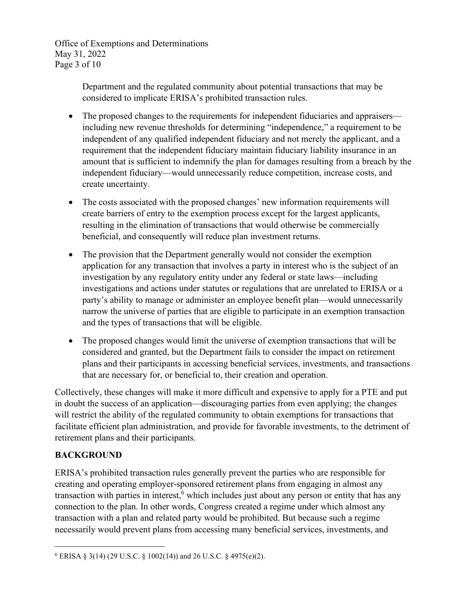Office of Exemptions and Determinations May 31, 2022 Page 3 of 10

> Department and the regulated community about potential transactions that may be considered to implicate ERISA's prohibited transaction rules.

- The proposed changes to the requirements for independent fiduciaries and appraisers including new revenue thresholds for determining "independence," a requirement to be independent of any qualified independent fiduciary and not merely the applicant, and a requirement that the independent fiduciary maintain fiduciary liability insurance in an amount that is sufficient to indemnify the plan for damages resulting from a breach by the independent fiduciary—would unnecessarily reduce competition, increase costs, and create uncertainty.
- The costs associated with the proposed changes' new information requirements will create barriers of entry to the exemption process except for the largest applicants, resulting in the elimination of transactions that would otherwise be commercially beneficial, and consequently will reduce plan investment returns.
- The provision that the Department generally would not consider the exemption application for any transaction that involves a party in interest who is the subject of an investigation by any regulatory entity under any federal or state laws—including investigations and actions under statutes or regulations that are unrelated to ERISA or a party's ability to manage or administer an employee benefit plan—would unnecessarily narrow the universe of parties that are eligible to participate in an exemption transaction and the types of transactions that will be eligible.
- The proposed changes would limit the universe of exemption transactions that will be considered and granted, but the Department fails to consider the impact on retirement plans and their participants in accessing beneficial services, investments, and transactions that are necessary for, or beneficial to, their creation and operation.

Collectively, these changes will make it more difficult and expensive to apply for a PTE and put in doubt the success of an application—discouraging parties from even applying; the changes will restrict the ability of the regulated community to obtain exemptions for transactions that facilitate efficient plan administration, and provide for favorable investments, to the detriment of retirement plans and their participants.

# **BACKGROUND**

ERISA's prohibited transaction rules generally prevent the parties who are responsible for creating and operating employer-sponsored retirement plans from engaging in almost any transaction with parties in interest, $6$  which includes just about any person or entity that has any connection to the plan. In other words, Congress created a regime under which almost any transaction with a plan and related party would be prohibited. But because such a regime necessarily would prevent plans from accessing many beneficial services, investments, and

 $6$  ERISA § 3(14) (29 U.S.C. § 1002(14)) and 26 U.S.C. § 4975(e)(2).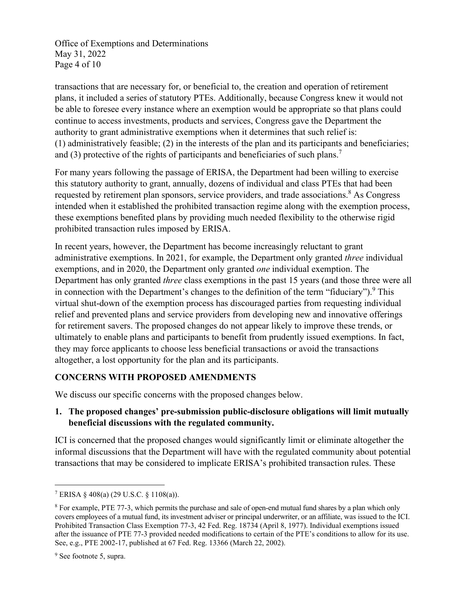Office of Exemptions and Determinations May 31, 2022 Page 4 of 10

transactions that are necessary for, or beneficial to, the creation and operation of retirement plans, it included a series of statutory PTEs. Additionally, because Congress knew it would not be able to foresee every instance where an exemption would be appropriate so that plans could continue to access investments, products and services, Congress gave the Department the authority to grant administrative exemptions when it determines that such relief is: (1) administratively feasible; (2) in the interests of the plan and its participants and beneficiaries; and (3) protective of the rights of participants and beneficiaries of such plans.<sup>7</sup>

For many years following the passage of ERISA, the Department had been willing to exercise this statutory authority to grant, annually, dozens of individual and class PTEs that had been requested by retirement plan sponsors, service providers, and trade associations.<sup>8</sup> As Congress intended when it established the prohibited transaction regime along with the exemption process, these exemptions benefited plans by providing much needed flexibility to the otherwise rigid prohibited transaction rules imposed by ERISA.

In recent years, however, the Department has become increasingly reluctant to grant administrative exemptions. In 2021, for example, the Department only granted *three* individual exemptions, and in 2020, the Department only granted *one* individual exemption. The Department has only granted *three* class exemptions in the past 15 years (and those three were all in connection with the Department's changes to the definition of the term "fiduciary").<sup>9</sup> This virtual shut-down of the exemption process has discouraged parties from requesting individual relief and prevented plans and service providers from developing new and innovative offerings for retirement savers. The proposed changes do not appear likely to improve these trends, or ultimately to enable plans and participants to benefit from prudently issued exemptions. In fact, they may force applicants to choose less beneficial transactions or avoid the transactions altogether, a lost opportunity for the plan and its participants.

## **CONCERNS WITH PROPOSED AMENDMENTS**

We discuss our specific concerns with the proposed changes below.

## **1. The proposed changes' pre-submission public-disclosure obligations will limit mutually beneficial discussions with the regulated community.**

ICI is concerned that the proposed changes would significantly limit or eliminate altogether the informal discussions that the Department will have with the regulated community about potential transactions that may be considered to implicate ERISA's prohibited transaction rules. These

<sup>7</sup> ERISA § 408(a) (29 U.S.C. § 1108(a)).

<sup>8</sup> For example, PTE 77-3, which permits the purchase and sale of open-end mutual fund shares by a plan which only covers employees of a mutual fund, its investment adviser or principal underwriter, or an affiliate, was issued to the ICI. Prohibited Transaction Class Exemption 77-3, 42 Fed. Reg. 18734 (April 8, 1977). Individual exemptions issued after the issuance of PTE 77-3 provided needed modifications to certain of the PTE's conditions to allow for its use. See, e.g., PTE 2002-17, published at 67 Fed. Reg. 13366 (March 22, 2002).

<sup>&</sup>lt;sup>9</sup> See footnote 5, supra.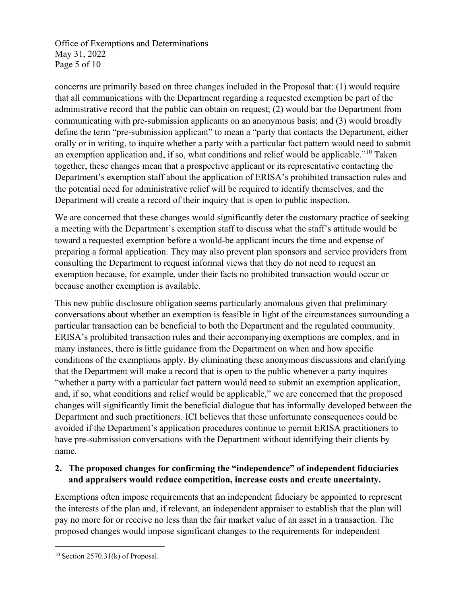Office of Exemptions and Determinations May 31, 2022 Page 5 of 10

concerns are primarily based on three changes included in the Proposal that: (1) would require that all communications with the Department regarding a requested exemption be part of the administrative record that the public can obtain on request; (2) would bar the Department from communicating with pre-submission applicants on an anonymous basis; and (3) would broadly define the term "pre-submission applicant" to mean a "party that contacts the Department, either orally or in writing, to inquire whether a party with a particular fact pattern would need to submit an exemption application and, if so, what conditions and relief would be applicable."<sup>10</sup> Taken together, these changes mean that a prospective applicant or its representative contacting the Department's exemption staff about the application of ERISA's prohibited transaction rules and the potential need for administrative relief will be required to identify themselves, and the Department will create a record of their inquiry that is open to public inspection.

We are concerned that these changes would significantly deter the customary practice of seeking a meeting with the Department's exemption staff to discuss what the staff's attitude would be toward a requested exemption before a would-be applicant incurs the time and expense of preparing a formal application. They may also prevent plan sponsors and service providers from consulting the Department to request informal views that they do not need to request an exemption because, for example, under their facts no prohibited transaction would occur or because another exemption is available.

This new public disclosure obligation seems particularly anomalous given that preliminary conversations about whether an exemption is feasible in light of the circumstances surrounding a particular transaction can be beneficial to both the Department and the regulated community. ERISA's prohibited transaction rules and their accompanying exemptions are complex, and in many instances, there is little guidance from the Department on when and how specific conditions of the exemptions apply. By eliminating these anonymous discussions and clarifying that the Department will make a record that is open to the public whenever a party inquires "whether a party with a particular fact pattern would need to submit an exemption application, and, if so, what conditions and relief would be applicable," we are concerned that the proposed changes will significantly limit the beneficial dialogue that has informally developed between the Department and such practitioners. ICI believes that these unfortunate consequences could be avoided if the Department's application procedures continue to permit ERISA practitioners to have pre-submission conversations with the Department without identifying their clients by name.

## **2. The proposed changes for confirming the "independence" of independent fiduciaries and appraisers would reduce competition, increase costs and create uncertainty.**

Exemptions often impose requirements that an independent fiduciary be appointed to represent the interests of the plan and, if relevant, an independent appraiser to establish that the plan will pay no more for or receive no less than the fair market value of an asset in a transaction. The proposed changes would impose significant changes to the requirements for independent

 $10$  Section 2570.31(k) of Proposal.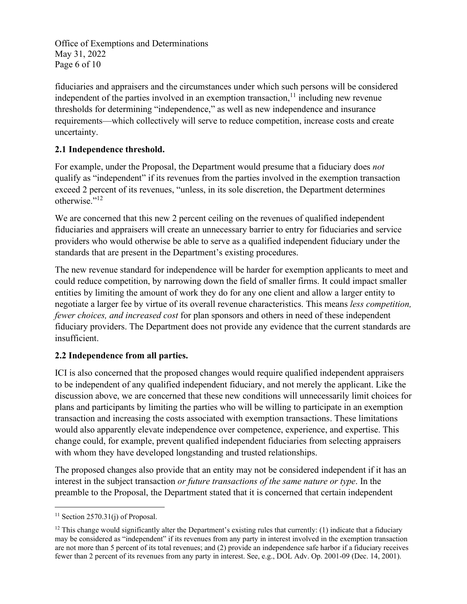Office of Exemptions and Determinations May 31, 2022 Page 6 of 10

fiduciaries and appraisers and the circumstances under which such persons will be considered independent of the parties involved in an exemption transaction,  $11$  including new revenue thresholds for determining "independence," as well as new independence and insurance requirements—which collectively will serve to reduce competition, increase costs and create uncertainty.

## **2.1 Independence threshold.**

For example, under the Proposal, the Department would presume that a fiduciary does *not* qualify as "independent" if its revenues from the parties involved in the exemption transaction exceed 2 percent of its revenues, "unless, in its sole discretion, the Department determines otherwise."<sup>12</sup>

We are concerned that this new 2 percent ceiling on the revenues of qualified independent fiduciaries and appraisers will create an unnecessary barrier to entry for fiduciaries and service providers who would otherwise be able to serve as a qualified independent fiduciary under the standards that are present in the Department's existing procedures.

The new revenue standard for independence will be harder for exemption applicants to meet and could reduce competition, by narrowing down the field of smaller firms. It could impact smaller entities by limiting the amount of work they do for any one client and allow a larger entity to negotiate a larger fee by virtue of its overall revenue characteristics. This means *less competition, fewer choices, and increased cost* for plan sponsors and others in need of these independent fiduciary providers. The Department does not provide any evidence that the current standards are insufficient.

## **2.2 Independence from all parties.**

ICI is also concerned that the proposed changes would require qualified independent appraisers to be independent of any qualified independent fiduciary, and not merely the applicant. Like the discussion above, we are concerned that these new conditions will unnecessarily limit choices for plans and participants by limiting the parties who will be willing to participate in an exemption transaction and increasing the costs associated with exemption transactions. These limitations would also apparently elevate independence over competence, experience, and expertise. This change could, for example, prevent qualified independent fiduciaries from selecting appraisers with whom they have developed longstanding and trusted relationships.

The proposed changes also provide that an entity may not be considered independent if it has an interest in the subject transaction *or future transactions of the same nature or type*. In the preamble to the Proposal, the Department stated that it is concerned that certain independent

<sup>&</sup>lt;sup>11</sup> Section 2570.31(j) of Proposal.

<sup>&</sup>lt;sup>12</sup> This change would significantly alter the Department's existing rules that currently: (1) indicate that a fiduciary may be considered as "independent" if its revenues from any party in interest involved in the exemption transaction are not more than 5 percent of its total revenues; and (2) provide an independence safe harbor if a fiduciary receives fewer than 2 percent of its revenues from any party in interest. See, e.g., DOL Adv. Op. 2001-09 (Dec. 14, 2001).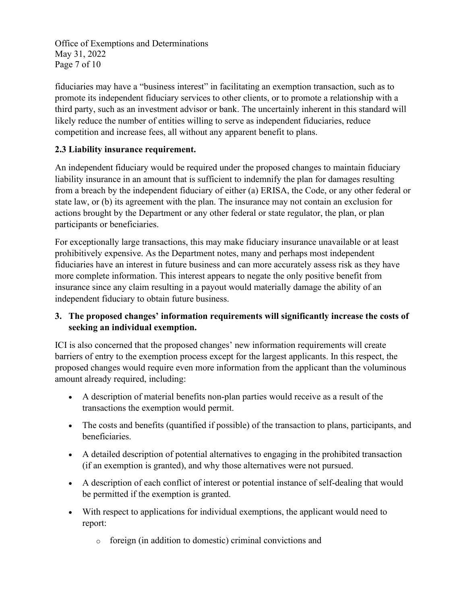Office of Exemptions and Determinations May 31, 2022 Page 7 of 10

fiduciaries may have a "business interest" in facilitating an exemption transaction, such as to promote its independent fiduciary services to other clients, or to promote a relationship with a third party, such as an investment advisor or bank. The uncertainly inherent in this standard will likely reduce the number of entities willing to serve as independent fiduciaries, reduce competition and increase fees, all without any apparent benefit to plans.

## **2.3 Liability insurance requirement.**

An independent fiduciary would be required under the proposed changes to maintain fiduciary liability insurance in an amount that is sufficient to indemnify the plan for damages resulting from a breach by the independent fiduciary of either (a) ERISA, the Code, or any other federal or state law, or (b) its agreement with the plan. The insurance may not contain an exclusion for actions brought by the Department or any other federal or state regulator, the plan, or plan participants or beneficiaries.

For exceptionally large transactions, this may make fiduciary insurance unavailable or at least prohibitively expensive. As the Department notes, many and perhaps most independent fiduciaries have an interest in future business and can more accurately assess risk as they have more complete information. This interest appears to negate the only positive benefit from insurance since any claim resulting in a payout would materially damage the ability of an independent fiduciary to obtain future business.

#### **3. The proposed changes' information requirements will significantly increase the costs of seeking an individual exemption.**

ICI is also concerned that the proposed changes' new information requirements will create barriers of entry to the exemption process except for the largest applicants. In this respect, the proposed changes would require even more information from the applicant than the voluminous amount already required, including:

- A description of material benefits non-plan parties would receive as a result of the transactions the exemption would permit.
- The costs and benefits (quantified if possible) of the transaction to plans, participants, and beneficiaries.
- A detailed description of potential alternatives to engaging in the prohibited transaction (if an exemption is granted), and why those alternatives were not pursued.
- A description of each conflict of interest or potential instance of self-dealing that would be permitted if the exemption is granted.
- With respect to applications for individual exemptions, the applicant would need to report:
	- o foreign (in addition to domestic) criminal convictions and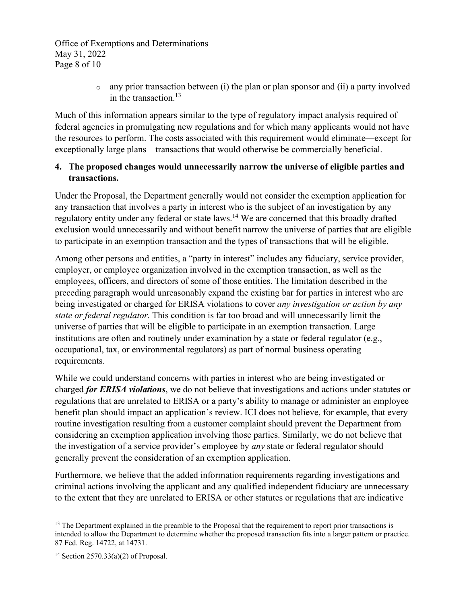Office of Exemptions and Determinations May 31, 2022 Page 8 of 10

> $\circ$  any prior transaction between (i) the plan or plan sponsor and (ii) a party involved in the transaction. $13$

Much of this information appears similar to the type of regulatory impact analysis required of federal agencies in promulgating new regulations and for which many applicants would not have the resources to perform. The costs associated with this requirement would eliminate—except for exceptionally large plans—transactions that would otherwise be commercially beneficial.

#### **4. The proposed changes would unnecessarily narrow the universe of eligible parties and transactions.**

Under the Proposal, the Department generally would not consider the exemption application for any transaction that involves a party in interest who is the subject of an investigation by any regulatory entity under any federal or state laws.<sup>14</sup> We are concerned that this broadly drafted exclusion would unnecessarily and without benefit narrow the universe of parties that are eligible to participate in an exemption transaction and the types of transactions that will be eligible.

Among other persons and entities, a "party in interest" includes any fiduciary, service provider, employer, or employee organization involved in the exemption transaction, as well as the employees, officers, and directors of some of those entities. The limitation described in the preceding paragraph would unreasonably expand the existing bar for parties in interest who are being investigated or charged for ERISA violations to cover *any investigation or action by any state or federal regulator.* This condition is far too broad and will unnecessarily limit the universe of parties that will be eligible to participate in an exemption transaction. Large institutions are often and routinely under examination by a state or federal regulator (e.g., occupational, tax, or environmental regulators) as part of normal business operating requirements.

While we could understand concerns with parties in interest who are being investigated or charged *for ERISA violations*, we do not believe that investigations and actions under statutes or regulations that are unrelated to ERISA or a party's ability to manage or administer an employee benefit plan should impact an application's review. ICI does not believe, for example, that every routine investigation resulting from a customer complaint should prevent the Department from considering an exemption application involving those parties. Similarly, we do not believe that the investigation of a service provider's employee by *any* state or federal regulator should generally prevent the consideration of an exemption application.

Furthermore, we believe that the added information requirements regarding investigations and criminal actions involving the applicant and any qualified independent fiduciary are unnecessary to the extent that they are unrelated to ERISA or other statutes or regulations that are indicative

<sup>&</sup>lt;sup>13</sup> The Department explained in the preamble to the Proposal that the requirement to report prior transactions is intended to allow the Department to determine whether the proposed transaction fits into a larger pattern or practice. 87 Fed. Reg. 14722, at 14731.

<sup>&</sup>lt;sup>14</sup> Section  $2570.33(a)(2)$  of Proposal.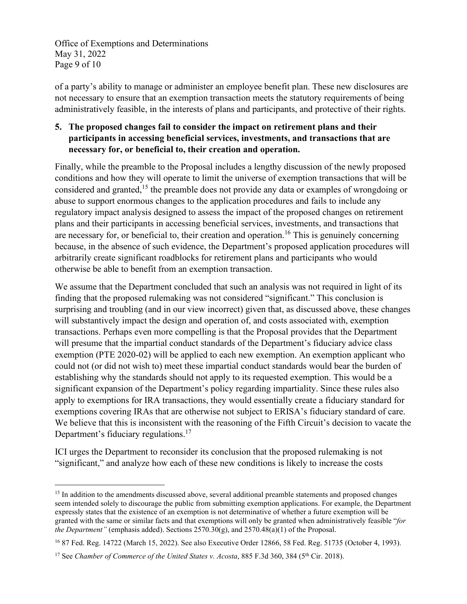Office of Exemptions and Determinations May 31, 2022 Page 9 of 10

of a party's ability to manage or administer an employee benefit plan. These new disclosures are not necessary to ensure that an exemption transaction meets the statutory requirements of being administratively feasible, in the interests of plans and participants, and protective of their rights.

## **5. The proposed changes fail to consider the impact on retirement plans and their participants in accessing beneficial services, investments, and transactions that are necessary for, or beneficial to, their creation and operation.**

Finally, while the preamble to the Proposal includes a lengthy discussion of the newly proposed conditions and how they will operate to limit the universe of exemption transactions that will be considered and granted,<sup>15</sup> the preamble does not provide any data or examples of wrongdoing or abuse to support enormous changes to the application procedures and fails to include any regulatory impact analysis designed to assess the impact of the proposed changes on retirement plans and their participants in accessing beneficial services, investments, and transactions that are necessary for, or beneficial to, their creation and operation.<sup>16</sup> This is genuinely concerning because, in the absence of such evidence, the Department's proposed application procedures will arbitrarily create significant roadblocks for retirement plans and participants who would otherwise be able to benefit from an exemption transaction.

We assume that the Department concluded that such an analysis was not required in light of its finding that the proposed rulemaking was not considered "significant." This conclusion is surprising and troubling (and in our view incorrect) given that, as discussed above, these changes will substantively impact the design and operation of, and costs associated with, exemption transactions. Perhaps even more compelling is that the Proposal provides that the Department will presume that the impartial conduct standards of the Department's fiduciary advice class exemption (PTE 2020-02) will be applied to each new exemption. An exemption applicant who could not (or did not wish to) meet these impartial conduct standards would bear the burden of establishing why the standards should not apply to its requested exemption. This would be a significant expansion of the Department's policy regarding impartiality. Since these rules also apply to exemptions for IRA transactions, they would essentially create a fiduciary standard for exemptions covering IRAs that are otherwise not subject to ERISA's fiduciary standard of care. We believe that this is inconsistent with the reasoning of the Fifth Circuit's decision to vacate the Department's fiduciary regulations.<sup>17</sup>

ICI urges the Department to reconsider its conclusion that the proposed rulemaking is not "significant," and analyze how each of these new conditions is likely to increase the costs

<sup>&</sup>lt;sup>15</sup> In addition to the amendments discussed above, several additional preamble statements and proposed changes seem intended solely to discourage the public from submitting exemption applications. For example, the Department expressly states that the existence of an exemption is not determinative of whether a future exemption will be granted with the same or similar facts and that exemptions will only be granted when administratively feasible "*for the Department"* (emphasis added). Sections  $2570.30(g)$ , and  $2570.48(a)(1)$  of the Proposal.

<sup>16</sup> 87 Fed. Reg. 14722 (March 15, 2022). See also Executive Order 12866, 58 Fed. Reg. 51735 (October 4, 1993).

<sup>&</sup>lt;sup>17</sup> See *Chamber of Commerce of the United States v. Acosta*, 885 F.3d 360, 384 (5<sup>th</sup> Cir. 2018).